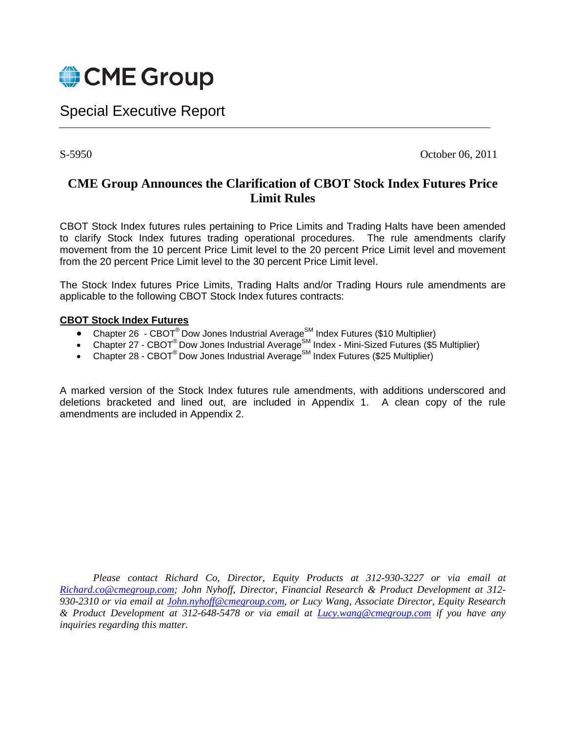

# Special Executive Report

S-5950 October 06, 2011

# **CME Group Announces the Clarification of CBOT Stock Index Futures Price Limit Rules**

CBOT Stock Index futures rules pertaining to Price Limits and Trading Halts have been amended to clarify Stock Index futures trading operational procedures. The rule amendments clarify movement from the 10 percent Price Limit level to the 20 percent Price Limit level and movement from the 20 percent Price Limit level to the 30 percent Price Limit level.

The Stock Index futures Price Limits, Trading Halts and/or Trading Hours rule amendments are applicable to the following CBOT Stock Index futures contracts:

### **CBOT Stock Index Futures**

- Chapter 26 CBOT® Dow Jones Industrial Average<sup>SM</sup> Index Futures (\$10 Multiplier)
- Chapter 27 CBOT<sup>®</sup> Dow Jones Industrial Average<sup>SM</sup> Index Mini-Sized Futures (\$5 Multiplier)
- Chapter 28 CBOT<sup>®</sup> Dow Jones Industrial Average<sup>SM</sup> Index Futures (\$25 Multiplier)

A marked version of the Stock Index futures rule amendments, with additions underscored and deletions bracketed and lined out, are included in Appendix 1. A clean copy of the rule amendments are included in Appendix 2.

*Please contact Richard Co, Director, Equity Products at 312-930-3227 or via email at Richard.co@cmegroup.com; John Nyhoff, Director, Financial Research & Product Development at 312- 930-2310 or via email at John.nyhoff@cmegroup.com, or Lucy Wang, Associate Director, Equity Research & Product Development at 312-648-5478 or via email at Lucy.wang@cmegroup.com if you have any inquiries regarding this matter.*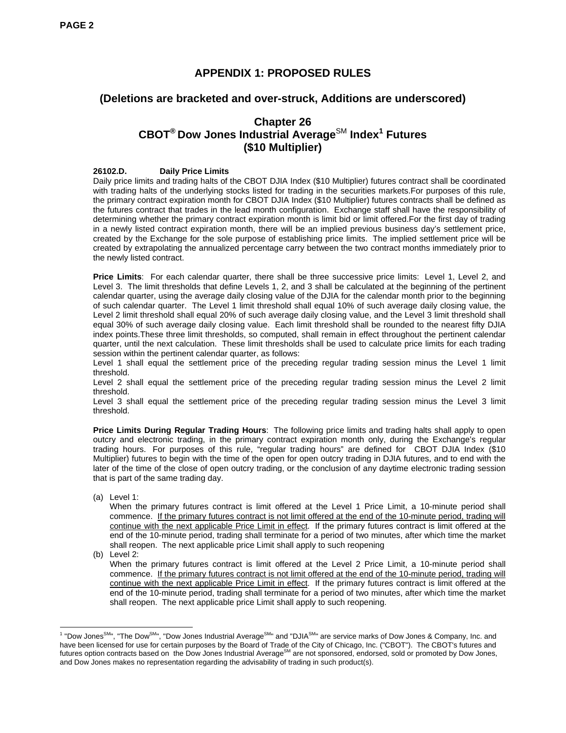# **APPENDIX 1: PROPOSED RULES**

## **(Deletions are bracketed and over-struck, Additions are underscored)**

# **Chapter 26 CBOT® Dow Jones Industrial Average**SM **Index<sup>1</sup> Futures (\$10 Multiplier)**

#### **26102.D. Daily Price Limits**

Daily price limits and trading halts of the CBOT DJIA Index (\$10 Multiplier) futures contract shall be coordinated with trading halts of the underlying stocks listed for trading in the securities markets.For purposes of this rule, the primary contract expiration month for CBOT DJIA Index (\$10 Multiplier) futures contracts shall be defined as the futures contract that trades in the lead month configuration. Exchange staff shall have the responsibility of determining whether the primary contract expiration month is limit bid or limit offered.For the first day of trading in a newly listed contract expiration month, there will be an implied previous business day's settlement price, created by the Exchange for the sole purpose of establishing price limits. The implied settlement price will be created by extrapolating the annualized percentage carry between the two contract months immediately prior to the newly listed contract.

**Price Limits**: For each calendar quarter, there shall be three successive price limits: Level 1, Level 2, and Level 3. The limit thresholds that define Levels 1, 2, and 3 shall be calculated at the beginning of the pertinent calendar quarter, using the average daily closing value of the DJIA for the calendar month prior to the beginning of such calendar quarter. The Level 1 limit threshold shall equal 10% of such average daily closing value, the Level 2 limit threshold shall equal 20% of such average daily closing value, and the Level 3 limit threshold shall equal 30% of such average daily closing value. Each limit threshold shall be rounded to the nearest fifty DJIA index points.These three limit thresholds, so computed, shall remain in effect throughout the pertinent calendar quarter, until the next calculation. These limit thresholds shall be used to calculate price limits for each trading session within the pertinent calendar quarter, as follows:

Level 1 shall equal the settlement price of the preceding regular trading session minus the Level 1 limit threshold.

Level 2 shall equal the settlement price of the preceding regular trading session minus the Level 2 limit threshold.

Level 3 shall equal the settlement price of the preceding regular trading session minus the Level 3 limit threshold.

**Price Limits During Regular Trading Hours**: The following price limits and trading halts shall apply to open outcry and electronic trading, in the primary contract expiration month only, during the Exchange's regular trading hours. For purposes of this rule, "regular trading hours" are defined for CBOT DJIA Index (\$10 Multiplier) futures to begin with the time of the open for open outcry trading in DJIA futures, and to end with the later of the time of the close of open outcry trading, or the conclusion of any daytime electronic trading session that is part of the same trading day.

(a) Level 1:

When the primary futures contract is limit offered at the Level 1 Price Limit, a 10-minute period shall commence. If the primary futures contract is not limit offered at the end of the 10-minute period, trading will continue with the next applicable Price Limit in effect. If the primary futures contract is limit offered at the end of the 10-minute period, trading shall terminate for a period of two minutes, after which time the market shall reopen. The next applicable price Limit shall apply to such reopening

(b) Level 2:

When the primary futures contract is limit offered at the Level 2 Price Limit, a 10-minute period shall commence. If the primary futures contract is not limit offered at the end of the 10-minute period, trading will continue with the next applicable Price Limit in effect. If the primary futures contract is limit offered at the end of the 10-minute period, trading shall terminate for a period of two minutes, after which time the market shall reopen. The next applicable price Limit shall apply to such reopening.

 1 "Dow JonesSM", "The DowSM", "Dow Jones Industrial AverageSM" and "DJIASM" are service marks of Dow Jones & Company, Inc. and have been licensed for use for certain purposes by the Board of Trade of the City of Chicago, Inc. ("CBOT"). The CBOT's futures and futures option contracts based on the Dow Jones Industrial AverageSM are not sponsored, endorsed, sold or promoted by Dow Jones, and Dow Jones makes no representation regarding the advisability of trading in such product(s).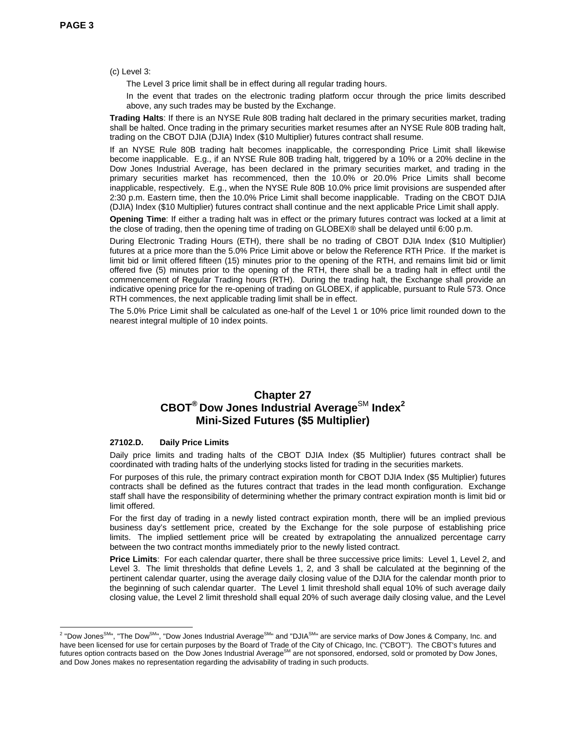(c) Level 3:

The Level 3 price limit shall be in effect during all regular trading hours.

In the event that trades on the electronic trading platform occur through the price limits described above, any such trades may be busted by the Exchange.

**Trading Halts**: If there is an NYSE Rule 80B trading halt declared in the primary securities market, trading shall be halted. Once trading in the primary securities market resumes after an NYSE Rule 80B trading halt, trading on the CBOT DJIA (DJIA) Index (\$10 Multiplier) futures contract shall resume.

If an NYSE Rule 80B trading halt becomes inapplicable, the corresponding Price Limit shall likewise become inapplicable. E.g., if an NYSE Rule 80B trading halt, triggered by a 10% or a 20% decline in the Dow Jones Industrial Average, has been declared in the primary securities market, and trading in the primary securities market has recommenced, then the 10.0% or 20.0% Price Limits shall become inapplicable, respectively. E.g., when the NYSE Rule 80B 10.0% price limit provisions are suspended after 2:30 p.m. Eastern time, then the 10.0% Price Limit shall become inapplicable. Trading on the CBOT DJIA (DJIA) Index (\$10 Multiplier) futures contract shall continue and the next applicable Price Limit shall apply.

**Opening Time**: If either a trading halt was in effect or the primary futures contract was locked at a limit at the close of trading, then the opening time of trading on GLOBEX® shall be delayed until 6:00 p.m.

During Electronic Trading Hours (ETH), there shall be no trading of CBOT DJIA Index (\$10 Multiplier) futures at a price more than the 5.0% Price Limit above or below the Reference RTH Price. If the market is limit bid or limit offered fifteen (15) minutes prior to the opening of the RTH, and remains limit bid or limit offered five (5) minutes prior to the opening of the RTH, there shall be a trading halt in effect until the commencement of Regular Trading hours (RTH). During the trading halt, the Exchange shall provide an indicative opening price for the re-opening of trading on GLOBEX, if applicable, pursuant to Rule 573. Once RTH commences, the next applicable trading limit shall be in effect.

The 5.0% Price Limit shall be calculated as one-half of the Level 1 or 10% price limit rounded down to the nearest integral multiple of 10 index points.

### **Chapter 27**   $CBOT^{\circledast}$  Dow Jones Industrial Average<sup>SM</sup> Index<sup>2</sup> **Mini-Sized Futures (\$5 Multiplier)**

#### **27102.D. Daily Price Limits**

Daily price limits and trading halts of the CBOT DJIA Index (\$5 Multiplier) futures contract shall be coordinated with trading halts of the underlying stocks listed for trading in the securities markets.

For purposes of this rule, the primary contract expiration month for CBOT DJIA Index (\$5 Multiplier) futures contracts shall be defined as the futures contract that trades in the lead month configuration. Exchange staff shall have the responsibility of determining whether the primary contract expiration month is limit bid or limit offered.

For the first day of trading in a newly listed contract expiration month, there will be an implied previous business day's settlement price, created by the Exchange for the sole purpose of establishing price limits. The implied settlement price will be created by extrapolating the annualized percentage carry between the two contract months immediately prior to the newly listed contract.

**Price Limits**: For each calendar quarter, there shall be three successive price limits: Level 1, Level 2, and Level 3. The limit thresholds that define Levels 1, 2, and 3 shall be calculated at the beginning of the pertinent calendar quarter, using the average daily closing value of the DJIA for the calendar month prior to the beginning of such calendar quarter. The Level 1 limit threshold shall equal 10% of such average daily closing value, the Level 2 limit threshold shall equal 20% of such average daily closing value, and the Level

<sup>&</sup>lt;u>a</u><br><sup>2</sup> "Dow Jones<sup>SM</sup>", "The Dow<sup>SM</sup>", "Dow Jones Industrial Average<sup>SM</sup>" and "DJIA<sup>SM</sup>" are service marks of Dow Jones & Company, Inc. and have been licensed for use for certain purposes by the Board of Trade of the City of Chicago, Inc. ("CBOT"). The CBOT's futures and futures option contracts based on the Dow Jones Industrial Average<sup>SM</sup> are not sponsored, endorsed, sold or promoted by Dow Jones, and Dow Jones makes no representation regarding the advisability of trading in such products.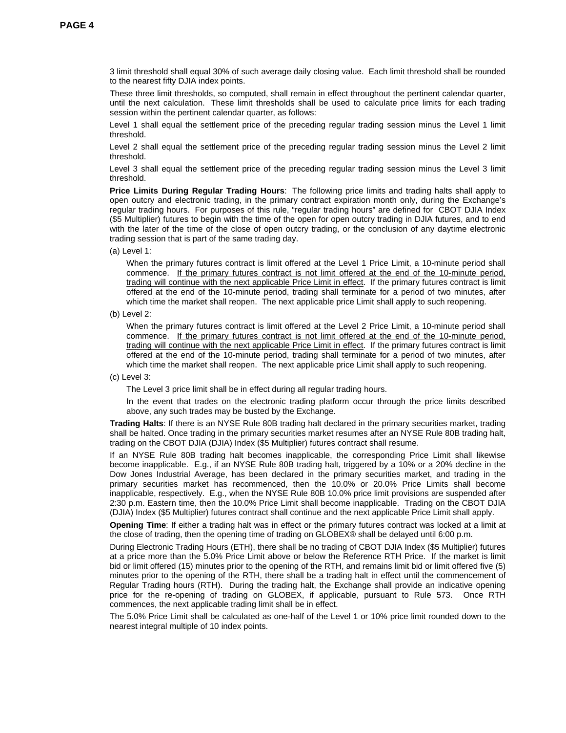3 limit threshold shall equal 30% of such average daily closing value. Each limit threshold shall be rounded to the nearest fifty DJIA index points.

These three limit thresholds, so computed, shall remain in effect throughout the pertinent calendar quarter, until the next calculation. These limit thresholds shall be used to calculate price limits for each trading session within the pertinent calendar quarter, as follows:

Level 1 shall equal the settlement price of the preceding regular trading session minus the Level 1 limit threshold.

Level 2 shall equal the settlement price of the preceding regular trading session minus the Level 2 limit threshold.

Level 3 shall equal the settlement price of the preceding regular trading session minus the Level 3 limit threshold.

**Price Limits During Regular Trading Hours**: The following price limits and trading halts shall apply to open outcry and electronic trading, in the primary contract expiration month only, during the Exchange's regular trading hours. For purposes of this rule, "regular trading hours" are defined for CBOT DJIA Index (\$5 Multiplier) futures to begin with the time of the open for open outcry trading in DJIA futures, and to end with the later of the time of the close of open outcry trading, or the conclusion of any daytime electronic trading session that is part of the same trading day.

(a) Level 1:

When the primary futures contract is limit offered at the Level 1 Price Limit, a 10-minute period shall commence. If the primary futures contract is not limit offered at the end of the 10-minute period, trading will continue with the next applicable Price Limit in effect. If the primary futures contract is limit offered at the end of the 10-minute period, trading shall terminate for a period of two minutes, after which time the market shall reopen. The next applicable price Limit shall apply to such reopening.

When the primary futures contract is limit offered at the Level 2 Price Limit, a 10-minute period shall commence. If the primary futures contract is not limit offered at the end of the 10-minute period, trading will continue with the next applicable Price Limit in effect. If the primary futures contract is limit offered at the end of the 10-minute period, trading shall terminate for a period of two minutes, after which time the market shall reopen. The next applicable price Limit shall apply to such reopening.

(c) Level 3:

The Level 3 price limit shall be in effect during all regular trading hours.

In the event that trades on the electronic trading platform occur through the price limits described above, any such trades may be busted by the Exchange.

**Trading Halts**: If there is an NYSE Rule 80B trading halt declared in the primary securities market, trading shall be halted. Once trading in the primary securities market resumes after an NYSE Rule 80B trading halt, trading on the CBOT DJIA (DJIA) Index (\$5 Multiplier) futures contract shall resume.

If an NYSE Rule 80B trading halt becomes inapplicable, the corresponding Price Limit shall likewise become inapplicable. E.g., if an NYSE Rule 80B trading halt, triggered by a 10% or a 20% decline in the Dow Jones Industrial Average, has been declared in the primary securities market, and trading in the primary securities market has recommenced, then the 10.0% or 20.0% Price Limits shall become inapplicable, respectively. E.g., when the NYSE Rule 80B 10.0% price limit provisions are suspended after 2:30 p.m. Eastern time, then the 10.0% Price Limit shall become inapplicable. Trading on the CBOT DJIA (DJIA) Index (\$5 Multiplier) futures contract shall continue and the next applicable Price Limit shall apply.

**Opening Time**: If either a trading halt was in effect or the primary futures contract was locked at a limit at the close of trading, then the opening time of trading on GLOBEX® shall be delayed until 6:00 p.m.

During Electronic Trading Hours (ETH), there shall be no trading of CBOT DJIA Index (\$5 Multiplier) futures at a price more than the 5.0% Price Limit above or below the Reference RTH Price. If the market is limit bid or limit offered (15) minutes prior to the opening of the RTH, and remains limit bid or limit offered five (5) minutes prior to the opening of the RTH, there shall be a trading halt in effect until the commencement of Regular Trading hours (RTH). During the trading halt, the Exchange shall provide an indicative opening price for the re-opening of trading on GLOBEX, if applicable, pursuant to Rule 573. Once RTH commences, the next applicable trading limit shall be in effect.

<sup>(</sup>b) Level 2: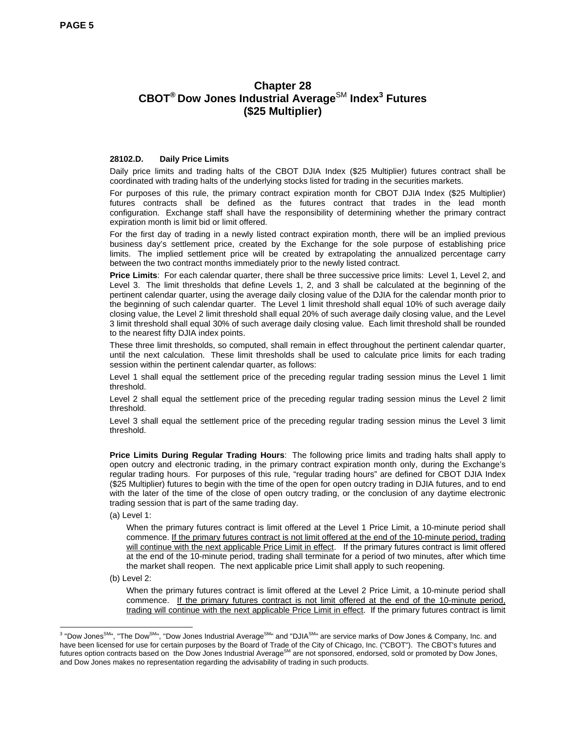# **Chapter 28 CBOT® Dow Jones Industrial Average**SM **Index<sup>3</sup> Futures (\$25 Multiplier)**

#### **28102.D. Daily Price Limits**

Daily price limits and trading halts of the CBOT DJIA Index (\$25 Multiplier) futures contract shall be coordinated with trading halts of the underlying stocks listed for trading in the securities markets.

For purposes of this rule, the primary contract expiration month for CBOT DJIA Index (\$25 Multiplier) futures contracts shall be defined as the futures contract that trades in the lead month configuration. Exchange staff shall have the responsibility of determining whether the primary contract expiration month is limit bid or limit offered.

For the first day of trading in a newly listed contract expiration month, there will be an implied previous business day's settlement price, created by the Exchange for the sole purpose of establishing price limits. The implied settlement price will be created by extrapolating the annualized percentage carry between the two contract months immediately prior to the newly listed contract.

**Price Limits**: For each calendar quarter, there shall be three successive price limits: Level 1, Level 2, and Level 3. The limit thresholds that define Levels 1, 2, and 3 shall be calculated at the beginning of the pertinent calendar quarter, using the average daily closing value of the DJIA for the calendar month prior to the beginning of such calendar quarter. The Level 1 limit threshold shall equal 10% of such average daily closing value, the Level 2 limit threshold shall equal 20% of such average daily closing value, and the Level 3 limit threshold shall equal 30% of such average daily closing value. Each limit threshold shall be rounded to the nearest fifty DJIA index points.

These three limit thresholds, so computed, shall remain in effect throughout the pertinent calendar quarter, until the next calculation. These limit thresholds shall be used to calculate price limits for each trading session within the pertinent calendar quarter, as follows:

Level 1 shall equal the settlement price of the preceding regular trading session minus the Level 1 limit threshold.

Level 2 shall equal the settlement price of the preceding regular trading session minus the Level 2 limit threshold.

Level 3 shall equal the settlement price of the preceding regular trading session minus the Level 3 limit threshold.

**Price Limits During Regular Trading Hours**: The following price limits and trading halts shall apply to open outcry and electronic trading, in the primary contract expiration month only, during the Exchange's regular trading hours. For purposes of this rule, "regular trading hours" are defined for CBOT DJIA Index (\$25 Multiplier) futures to begin with the time of the open for open outcry trading in DJIA futures, and to end with the later of the time of the close of open outcry trading, or the conclusion of any daytime electronic trading session that is part of the same trading day.

(a) Level 1:

When the primary futures contract is limit offered at the Level 1 Price Limit, a 10-minute period shall commence. If the primary futures contract is not limit offered at the end of the 10-minute period, trading will continue with the next applicable Price Limit in effect. If the primary futures contract is limit offered at the end of the 10-minute period, trading shall terminate for a period of two minutes, after which time the market shall reopen. The next applicable price Limit shall apply to such reopening.

(b) Level 2:

When the primary futures contract is limit offered at the Level 2 Price Limit, a 10-minute period shall commence. If the primary futures contract is not limit offered at the end of the 10-minute period, trading will continue with the next applicable Price Limit in effect. If the primary futures contract is limit

<sup>&</sup>lt;sup>3</sup> "Dow Jones<sup>SM</sup>", "The Dow<sup>SM</sup>", "Dow Jones Industrial Average<sup>SM</sup>" and "DJIA<sup>SM</sup>" are service marks of Dow Jones & Company, Inc. and \, have been licensed for use for certain purposes by the Board of Trade of the City of Chicago, Inc. ("CBOT"). The CBOT's futures and futures option contracts based on the Dow Jones Industrial AverageSM are not sponsored, endorsed, sold or promoted by Dow Jones, and Dow Jones makes no representation regarding the advisability of trading in such products.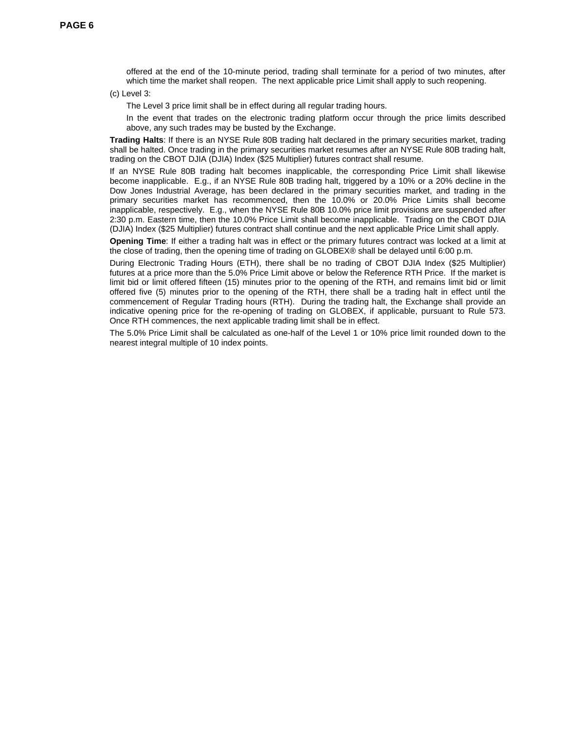offered at the end of the 10-minute period, trading shall terminate for a period of two minutes, after which time the market shall reopen. The next applicable price Limit shall apply to such reopening.

(c) Level 3:

The Level 3 price limit shall be in effect during all regular trading hours.

In the event that trades on the electronic trading platform occur through the price limits described above, any such trades may be busted by the Exchange.

**Trading Halts**: If there is an NYSE Rule 80B trading halt declared in the primary securities market, trading shall be halted. Once trading in the primary securities market resumes after an NYSE Rule 80B trading halt, trading on the CBOT DJIA (DJIA) Index (\$25 Multiplier) futures contract shall resume.

If an NYSE Rule 80B trading halt becomes inapplicable, the corresponding Price Limit shall likewise become inapplicable. E.g., if an NYSE Rule 80B trading halt, triggered by a 10% or a 20% decline in the Dow Jones Industrial Average, has been declared in the primary securities market, and trading in the primary securities market has recommenced, then the 10.0% or 20.0% Price Limits shall become inapplicable, respectively. E.g., when the NYSE Rule 80B 10.0% price limit provisions are suspended after 2:30 p.m. Eastern time, then the 10.0% Price Limit shall become inapplicable. Trading on the CBOT DJIA (DJIA) Index (\$25 Multiplier) futures contract shall continue and the next applicable Price Limit shall apply.

**Opening Time**: If either a trading halt was in effect or the primary futures contract was locked at a limit at the close of trading, then the opening time of trading on GLOBEX® shall be delayed until 6:00 p.m.

During Electronic Trading Hours (ETH), there shall be no trading of CBOT DJIA Index (\$25 Multiplier) futures at a price more than the 5.0% Price Limit above or below the Reference RTH Price. If the market is limit bid or limit offered fifteen (15) minutes prior to the opening of the RTH, and remains limit bid or limit offered five (5) minutes prior to the opening of the RTH, there shall be a trading halt in effect until the commencement of Regular Trading hours (RTH). During the trading halt, the Exchange shall provide an indicative opening price for the re-opening of trading on GLOBEX, if applicable, pursuant to Rule 573. Once RTH commences, the next applicable trading limit shall be in effect.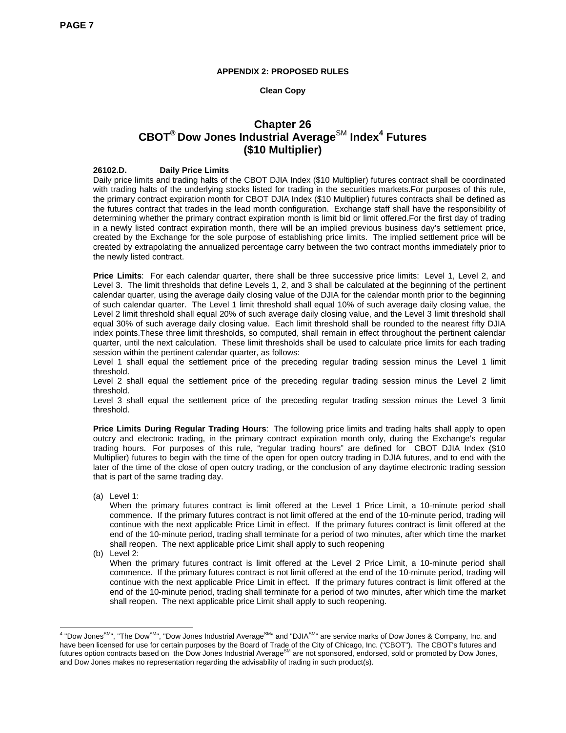#### **APPENDIX 2: PROPOSED RULES**

#### **Clean Copy**

# **Chapter 26 CBOT® Dow Jones Industrial Average**SM **Index<sup>4</sup> Futures (\$10 Multiplier)**

#### **26102.D. Daily Price Limits**

Daily price limits and trading halts of the CBOT DJIA Index (\$10 Multiplier) futures contract shall be coordinated with trading halts of the underlying stocks listed for trading in the securities markets.For purposes of this rule, the primary contract expiration month for CBOT DJIA Index (\$10 Multiplier) futures contracts shall be defined as the futures contract that trades in the lead month configuration. Exchange staff shall have the responsibility of determining whether the primary contract expiration month is limit bid or limit offered.For the first day of trading in a newly listed contract expiration month, there will be an implied previous business day's settlement price, created by the Exchange for the sole purpose of establishing price limits. The implied settlement price will be created by extrapolating the annualized percentage carry between the two contract months immediately prior to the newly listed contract.

**Price Limits**: For each calendar quarter, there shall be three successive price limits: Level 1, Level 2, and Level 3. The limit thresholds that define Levels 1, 2, and 3 shall be calculated at the beginning of the pertinent calendar quarter, using the average daily closing value of the DJIA for the calendar month prior to the beginning of such calendar quarter. The Level 1 limit threshold shall equal 10% of such average daily closing value, the Level 2 limit threshold shall equal 20% of such average daily closing value, and the Level 3 limit threshold shall equal 30% of such average daily closing value. Each limit threshold shall be rounded to the nearest fifty DJIA index points.These three limit thresholds, so computed, shall remain in effect throughout the pertinent calendar quarter, until the next calculation. These limit thresholds shall be used to calculate price limits for each trading session within the pertinent calendar quarter, as follows:

Level 1 shall equal the settlement price of the preceding regular trading session minus the Level 1 limit threshold.

Level 2 shall equal the settlement price of the preceding regular trading session minus the Level 2 limit threshold.

Level 3 shall equal the settlement price of the preceding regular trading session minus the Level 3 limit threshold.

**Price Limits During Regular Trading Hours**: The following price limits and trading halts shall apply to open outcry and electronic trading, in the primary contract expiration month only, during the Exchange's regular trading hours. For purposes of this rule, "regular trading hours" are defined for CBOT DJIA Index (\$10 Multiplier) futures to begin with the time of the open for open outcry trading in DJIA futures, and to end with the later of the time of the close of open outcry trading, or the conclusion of any daytime electronic trading session that is part of the same trading day.

(a) Level 1:

When the primary futures contract is limit offered at the Level 1 Price Limit, a 10-minute period shall commence. If the primary futures contract is not limit offered at the end of the 10-minute period, trading will continue with the next applicable Price Limit in effect. If the primary futures contract is limit offered at the end of the 10-minute period, trading shall terminate for a period of two minutes, after which time the market shall reopen. The next applicable price Limit shall apply to such reopening

(b) Level 2:

When the primary futures contract is limit offered at the Level 2 Price Limit, a 10-minute period shall commence. If the primary futures contract is not limit offered at the end of the 10-minute period, trading will continue with the next applicable Price Limit in effect. If the primary futures contract is limit offered at the end of the 10-minute period, trading shall terminate for a period of two minutes, after which time the market shall reopen. The next applicable price Limit shall apply to such reopening.

 4 "Dow JonesSM", "The DowSM", "Dow Jones Industrial AverageSM" and "DJIASM" are service marks of Dow Jones & Company, Inc. and have been licensed for use for certain purposes by the Board of Trade of the City of Chicago, Inc. ("CBOT"). The CBOT's futures and futures option contracts based on the Dow Jones Industrial AverageSM are not sponsored, endorsed, sold or promoted by Dow Jones, and Dow Jones makes no representation regarding the advisability of trading in such product(s).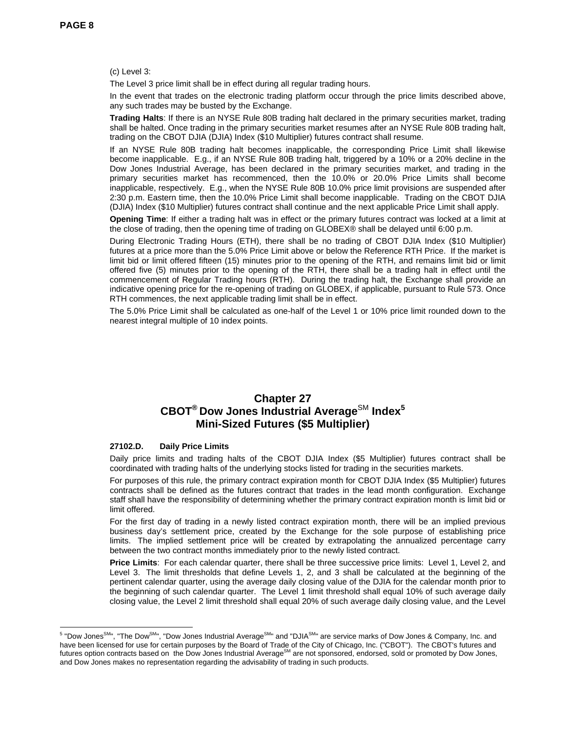(c) Level 3:

The Level 3 price limit shall be in effect during all regular trading hours.

In the event that trades on the electronic trading platform occur through the price limits described above, any such trades may be busted by the Exchange.

**Trading Halts**: If there is an NYSE Rule 80B trading halt declared in the primary securities market, trading shall be halted. Once trading in the primary securities market resumes after an NYSE Rule 80B trading halt, trading on the CBOT DJIA (DJIA) Index (\$10 Multiplier) futures contract shall resume.

If an NYSE Rule 80B trading halt becomes inapplicable, the corresponding Price Limit shall likewise become inapplicable. E.g., if an NYSE Rule 80B trading halt, triggered by a 10% or a 20% decline in the Dow Jones Industrial Average, has been declared in the primary securities market, and trading in the primary securities market has recommenced, then the 10.0% or 20.0% Price Limits shall become inapplicable, respectively. E.g., when the NYSE Rule 80B 10.0% price limit provisions are suspended after 2:30 p.m. Eastern time, then the 10.0% Price Limit shall become inapplicable. Trading on the CBOT DJIA (DJIA) Index (\$10 Multiplier) futures contract shall continue and the next applicable Price Limit shall apply.

**Opening Time**: If either a trading halt was in effect or the primary futures contract was locked at a limit at the close of trading, then the opening time of trading on GLOBEX® shall be delayed until 6:00 p.m.

During Electronic Trading Hours (ETH), there shall be no trading of CBOT DJIA Index (\$10 Multiplier) futures at a price more than the 5.0% Price Limit above or below the Reference RTH Price. If the market is limit bid or limit offered fifteen (15) minutes prior to the opening of the RTH, and remains limit bid or limit offered five (5) minutes prior to the opening of the RTH, there shall be a trading halt in effect until the commencement of Regular Trading hours (RTH). During the trading halt, the Exchange shall provide an indicative opening price for the re-opening of trading on GLOBEX, if applicable, pursuant to Rule 573. Once RTH commences, the next applicable trading limit shall be in effect.

The 5.0% Price Limit shall be calculated as one-half of the Level 1 or 10% price limit rounded down to the nearest integral multiple of 10 index points.

## **Chapter 27**   $CBOT^{\circledast}$  Dow Jones Industrial Average<sup>SM</sup> Index<sup>5</sup> **Mini-Sized Futures (\$5 Multiplier)**

#### **27102.D. Daily Price Limits**

Daily price limits and trading halts of the CBOT DJIA Index (\$5 Multiplier) futures contract shall be coordinated with trading halts of the underlying stocks listed for trading in the securities markets.

For purposes of this rule, the primary contract expiration month for CBOT DJIA Index (\$5 Multiplier) futures contracts shall be defined as the futures contract that trades in the lead month configuration. Exchange staff shall have the responsibility of determining whether the primary contract expiration month is limit bid or limit offered.

For the first day of trading in a newly listed contract expiration month, there will be an implied previous business day's settlement price, created by the Exchange for the sole purpose of establishing price limits. The implied settlement price will be created by extrapolating the annualized percentage carry between the two contract months immediately prior to the newly listed contract.

**Price Limits**: For each calendar quarter, there shall be three successive price limits: Level 1, Level 2, and Level 3. The limit thresholds that define Levels 1, 2, and 3 shall be calculated at the beginning of the pertinent calendar quarter, using the average daily closing value of the DJIA for the calendar month prior to the beginning of such calendar quarter. The Level 1 limit threshold shall equal 10% of such average daily closing value, the Level 2 limit threshold shall equal 20% of such average daily closing value, and the Level

 5 "Dow JonesSM", "The DowSM", "Dow Jones Industrial AverageSM" and "DJIASM" are service marks of Dow Jones & Company, Inc. and have been licensed for use for certain purposes by the Board of Trade of the City of Chicago, Inc. ("CBOT"). The CBOT's futures and<br>futures option contracts based on the Dow Jones Industrial Average<sup>SM</sup> are not sponsored, and Dow Jones makes no representation regarding the advisability of trading in such products.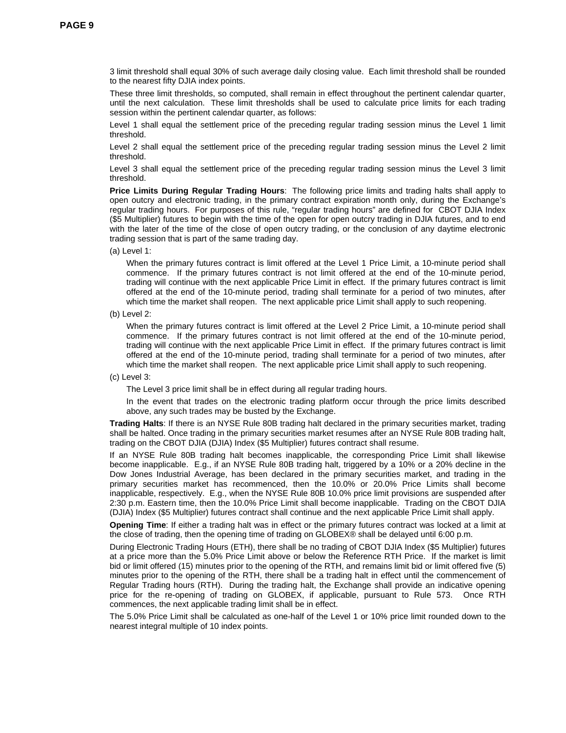3 limit threshold shall equal 30% of such average daily closing value. Each limit threshold shall be rounded to the nearest fifty DJIA index points.

These three limit thresholds, so computed, shall remain in effect throughout the pertinent calendar quarter, until the next calculation. These limit thresholds shall be used to calculate price limits for each trading session within the pertinent calendar quarter, as follows:

Level 1 shall equal the settlement price of the preceding regular trading session minus the Level 1 limit threshold.

Level 2 shall equal the settlement price of the preceding regular trading session minus the Level 2 limit threshold.

Level 3 shall equal the settlement price of the preceding regular trading session minus the Level 3 limit threshold.

**Price Limits During Regular Trading Hours**: The following price limits and trading halts shall apply to open outcry and electronic trading, in the primary contract expiration month only, during the Exchange's regular trading hours. For purposes of this rule, "regular trading hours" are defined for CBOT DJIA Index (\$5 Multiplier) futures to begin with the time of the open for open outcry trading in DJIA futures, and to end with the later of the time of the close of open outcry trading, or the conclusion of any daytime electronic trading session that is part of the same trading day.

(a) Level 1:

When the primary futures contract is limit offered at the Level 1 Price Limit, a 10-minute period shall commence. If the primary futures contract is not limit offered at the end of the 10-minute period, trading will continue with the next applicable Price Limit in effect. If the primary futures contract is limit offered at the end of the 10-minute period, trading shall terminate for a period of two minutes, after which time the market shall reopen. The next applicable price Limit shall apply to such reopening.

(b) Level 2:

When the primary futures contract is limit offered at the Level 2 Price Limit, a 10-minute period shall commence. If the primary futures contract is not limit offered at the end of the 10-minute period, trading will continue with the next applicable Price Limit in effect. If the primary futures contract is limit offered at the end of the 10-minute period, trading shall terminate for a period of two minutes, after which time the market shall reopen. The next applicable price Limit shall apply to such reopening.

(c) Level 3:

The Level 3 price limit shall be in effect during all regular trading hours.

In the event that trades on the electronic trading platform occur through the price limits described above, any such trades may be busted by the Exchange.

**Trading Halts**: If there is an NYSE Rule 80B trading halt declared in the primary securities market, trading shall be halted. Once trading in the primary securities market resumes after an NYSE Rule 80B trading halt, trading on the CBOT DJIA (DJIA) Index (\$5 Multiplier) futures contract shall resume.

If an NYSE Rule 80B trading halt becomes inapplicable, the corresponding Price Limit shall likewise become inapplicable. E.g., if an NYSE Rule 80B trading halt, triggered by a 10% or a 20% decline in the Dow Jones Industrial Average, has been declared in the primary securities market, and trading in the primary securities market has recommenced, then the 10.0% or 20.0% Price Limits shall become inapplicable, respectively. E.g., when the NYSE Rule 80B 10.0% price limit provisions are suspended after 2:30 p.m. Eastern time, then the 10.0% Price Limit shall become inapplicable. Trading on the CBOT DJIA (DJIA) Index (\$5 Multiplier) futures contract shall continue and the next applicable Price Limit shall apply.

**Opening Time**: If either a trading halt was in effect or the primary futures contract was locked at a limit at the close of trading, then the opening time of trading on GLOBEX® shall be delayed until 6:00 p.m.

During Electronic Trading Hours (ETH), there shall be no trading of CBOT DJIA Index (\$5 Multiplier) futures at a price more than the 5.0% Price Limit above or below the Reference RTH Price. If the market is limit bid or limit offered (15) minutes prior to the opening of the RTH, and remains limit bid or limit offered five (5) minutes prior to the opening of the RTH, there shall be a trading halt in effect until the commencement of Regular Trading hours (RTH). During the trading halt, the Exchange shall provide an indicative opening price for the re-opening of trading on GLOBEX, if applicable, pursuant to Rule 573. Once RTH commences, the next applicable trading limit shall be in effect.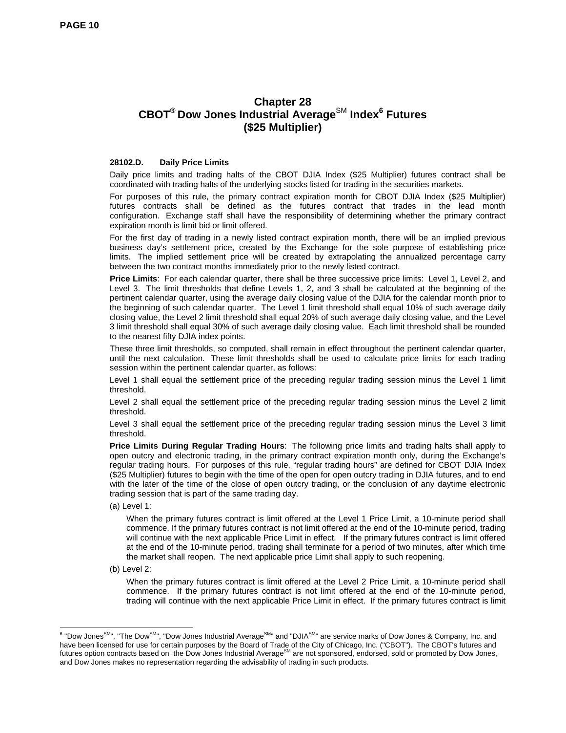# **Chapter 28 CBOT® Dow Jones Industrial Average**SM **Index<sup>6</sup> Futures (\$25 Multiplier)**

#### **28102.D. Daily Price Limits**

Daily price limits and trading halts of the CBOT DJIA Index (\$25 Multiplier) futures contract shall be coordinated with trading halts of the underlying stocks listed for trading in the securities markets.

For purposes of this rule, the primary contract expiration month for CBOT DJIA Index (\$25 Multiplier) futures contracts shall be defined as the futures contract that trades in the lead month configuration. Exchange staff shall have the responsibility of determining whether the primary contract expiration month is limit bid or limit offered.

For the first day of trading in a newly listed contract expiration month, there will be an implied previous business day's settlement price, created by the Exchange for the sole purpose of establishing price limits. The implied settlement price will be created by extrapolating the annualized percentage carry between the two contract months immediately prior to the newly listed contract.

**Price Limits**: For each calendar quarter, there shall be three successive price limits: Level 1, Level 2, and Level 3. The limit thresholds that define Levels 1, 2, and 3 shall be calculated at the beginning of the pertinent calendar quarter, using the average daily closing value of the DJIA for the calendar month prior to the beginning of such calendar quarter. The Level 1 limit threshold shall equal 10% of such average daily closing value, the Level 2 limit threshold shall equal 20% of such average daily closing value, and the Level 3 limit threshold shall equal 30% of such average daily closing value. Each limit threshold shall be rounded to the nearest fifty DJIA index points.

These three limit thresholds, so computed, shall remain in effect throughout the pertinent calendar quarter, until the next calculation. These limit thresholds shall be used to calculate price limits for each trading session within the pertinent calendar quarter, as follows:

Level 1 shall equal the settlement price of the preceding regular trading session minus the Level 1 limit threshold.

Level 2 shall equal the settlement price of the preceding regular trading session minus the Level 2 limit threshold.

Level 3 shall equal the settlement price of the preceding regular trading session minus the Level 3 limit threshold.

**Price Limits During Regular Trading Hours**: The following price limits and trading halts shall apply to open outcry and electronic trading, in the primary contract expiration month only, during the Exchange's regular trading hours. For purposes of this rule, "regular trading hours" are defined for CBOT DJIA Index (\$25 Multiplier) futures to begin with the time of the open for open outcry trading in DJIA futures, and to end with the later of the time of the close of open outcry trading, or the conclusion of any daytime electronic trading session that is part of the same trading day.

(a) Level 1:

When the primary futures contract is limit offered at the Level 1 Price Limit, a 10-minute period shall commence. If the primary futures contract is not limit offered at the end of the 10-minute period, trading will continue with the next applicable Price Limit in effect. If the primary futures contract is limit offered at the end of the 10-minute period, trading shall terminate for a period of two minutes, after which time the market shall reopen. The next applicable price Limit shall apply to such reopening.

(b) Level 2:

When the primary futures contract is limit offered at the Level 2 Price Limit, a 10-minute period shall commence. If the primary futures contract is not limit offered at the end of the 10-minute period, trading will continue with the next applicable Price Limit in effect. If the primary futures contract is limit

<sup>&</sup>lt;sup>6</sup> "Dow Jones<sup>SM</sup>", "The Dow<sup>SM</sup>", "Dow Jones Industrial Average<sup>SM</sup>" and "DJIA<sup>SM</sup>" are service marks of Dow Jones & Company, Inc. and \, have been licensed for use for certain purposes by the Board of Trade of the City of Chicago, Inc. ("CBOT"). The CBOT's futures and futures option contracts based on the Dow Jones Industrial AverageSM are not sponsored, endorsed, sold or promoted by Dow Jones, and Dow Jones makes no representation regarding the advisability of trading in such products.